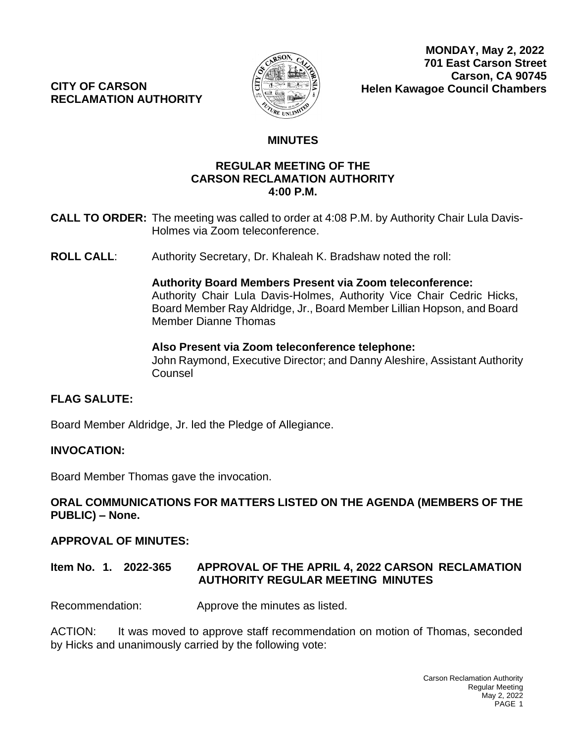**CITY OF CARSON RECLAMATION AUTHORITY**



# **MINUTES**

#### **CALL TO OP.M. CALL THE MEETING WAS CALLED TO OP.M.** BY AUTHORITY CHAIRMAN ALBERTA AT ALCOHOL. **REGULAR MEETING OF THE CARSON RECLAMATION AUTHORITY 4:00 P.M.**

- **CALL TO ORDER:** The meeting was called to order at 4:08 P.M. by Authority Chair Lula Davis-Holmes via Zoom teleconference.
- **ROLL CALL**: Authority Secretary, Dr. Khaleah K. Bradshaw noted the roll:

#### **Authority Board Members Present via Zoom teleconference:** Authority Chair Lula Davis-Holmes, Authority Vice Chair Cedric Hicks, Board Member Ray Aldridge, Jr., Board Member Lillian Hopson, and Board Member Dianne Thomas

## **Also Present via Zoom teleconference telephone:**

John Raymond, Executive Director; and Danny Aleshire, Assistant Authority **Counsel** 

## **FLAG SALUTE:**

Board Member Aldridge, Jr. led the Pledge of Allegiance.

#### **INVOCATION:**

Board Member Thomas gave the invocation.

## **ORAL COMMUNICATIONS FOR MATTERS LISTED ON THE AGENDA (MEMBERS OF THE PUBLIC) – None.**

#### **APPROVAL OF MINUTES:**

## **Item No. 1. 2022-365 APPROVAL OF THE APRIL 4, 2022 CARSON RECLAMATION AUTHORITY REGULAR MEETING MINUTES**

Recommendation: Approve the minutes as listed.

ACTION: It was moved to approve staff recommendation on motion of Thomas, seconded by Hicks and unanimously carried by the following vote: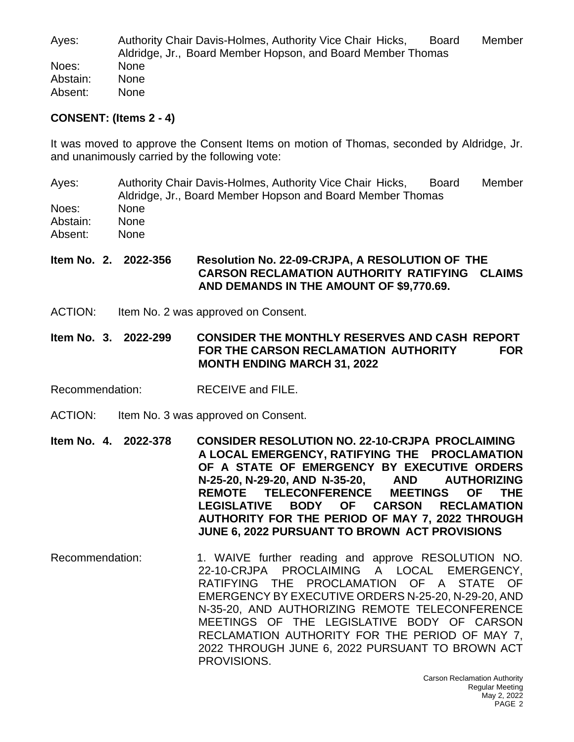Ayes: Authority Chair Davis-Holmes, Authority Vice Chair Hicks, Board Member Aldridge, Jr., Board Member Hopson, and Board Member Thomas Noes: None Abstain: None Absent: None

#### **CONSENT: (Items 2 - 4)**

It was moved to approve the Consent Items on motion of Thomas, seconded by Aldridge, Jr. and unanimously carried by the following vote:

Ayes: Authority Chair Davis-Holmes, Authority Vice Chair Hicks, Board Member Aldridge, Jr., Board Member Hopson and Board Member Thomas Noes: None Abstain: None Absent: None

#### **Item No. 2. 2022-356 Resolution No. 22-09-CRJPA, A RESOLUTION OF THE CARSON RECLAMATION AUTHORITY RATIFYING CLAIMS AND DEMANDS IN THE AMOUNT OF \$9,770.69.**

- ACTION: Item No. 2 was approved on Consent.
- **Item No. 3. 2022-299 CONSIDER THE MONTHLY RESERVES AND CASH REPORT FOR THE CARSON RECLAMATION AUTHORITY FOR MONTH ENDING MARCH 31, 2022**
- Recommendation: RECEIVE and FILE.
- ACTION: Item No. 3 was approved on Consent.
- **Item No. 4. 2022-378 CONSIDER RESOLUTION NO. 22-10-CRJPA PROCLAIMING A LOCAL EMERGENCY, RATIFYING THE PROCLAMATION OF A STATE OF EMERGENCY BY EXECUTIVE ORDERS N-25-20, N-29-20, AND N-35-20, AND AUTHORIZING REMOTE TELECONFERENCE MEETINGS OF THE LEGISLATIVE BODY OF CARSON RECLAMATION AUTHORITY FOR THE PERIOD OF MAY 7, 2022 THROUGH JUNE 6, 2022 PURSUANT TO BROWN ACT PROVISIONS**
- Recommendation: 1. WAIVE further reading and approve RESOLUTION NO. 22-10-CRJPA PROCLAIMING A LOCAL EMERGENCY, RATIFYING THE PROCLAMATION OF A STATE OF EMERGENCY BY EXECUTIVE ORDERS N-25-20, N-29-20, AND N-35-20, AND AUTHORIZING REMOTE TELECONFERENCE MEETINGS OF THE LEGISLATIVE BODY OF CARSON RECLAMATION AUTHORITY FOR THE PERIOD OF MAY 7, 2022 THROUGH JUNE 6, 2022 PURSUANT TO BROWN ACT PROVISIONS.